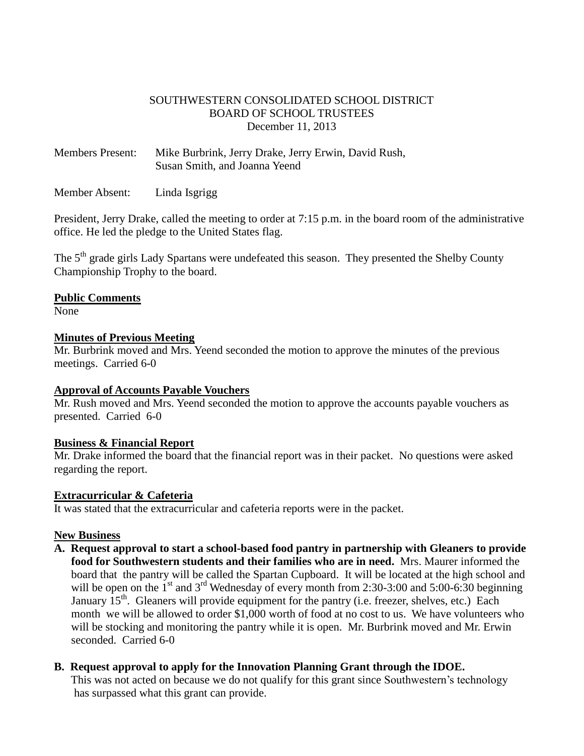### SOUTHWESTERN CONSOLIDATED SCHOOL DISTRICT BOARD OF SCHOOL TRUSTEES December 11, 2013

Members Present: Mike Burbrink, Jerry Drake, Jerry Erwin, David Rush, Susan Smith, and Joanna Yeend

Member Absent: Linda Isgrigg

President, Jerry Drake, called the meeting to order at 7:15 p.m. in the board room of the administrative office. He led the pledge to the United States flag.

The 5<sup>th</sup> grade girls Lady Spartans were undefeated this season. They presented the Shelby County Championship Trophy to the board.

#### **Public Comments**

None

#### **Minutes of Previous Meeting**

Mr. Burbrink moved and Mrs. Yeend seconded the motion to approve the minutes of the previous meetings. Carried 6-0

## **Approval of Accounts Payable Vouchers**

Mr. Rush moved and Mrs. Yeend seconded the motion to approve the accounts payable vouchers as presented. Carried 6-0

#### **Business & Financial Report**

Mr. Drake informed the board that the financial report was in their packet. No questions were asked regarding the report.

#### **Extracurricular & Cafeteria**

It was stated that the extracurricular and cafeteria reports were in the packet.

## **New Business**

**A. Request approval to start a school-based food pantry in partnership with Gleaners to provide food for Southwestern students and their families who are in need.** Mrs. Maurer informed the board that the pantry will be called the Spartan Cupboard. It will be located at the high school and will be open on the  $1<sup>st</sup>$  and  $3<sup>rd</sup>$  Wednesday of every month from 2:30-3:00 and 5:00-6:30 beginning January  $15<sup>th</sup>$ . Gleaners will provide equipment for the pantry (i.e. freezer, shelves, etc.) Each month we will be allowed to order \$1,000 worth of food at no cost to us. We have volunteers who will be stocking and monitoring the pantry while it is open. Mr. Burbrink moved and Mr. Erwin seconded. Carried 6-0

## **B. Request approval to apply for the Innovation Planning Grant through the IDOE.**

 This was not acted on because we do not qualify for this grant since Southwestern's technology has surpassed what this grant can provide.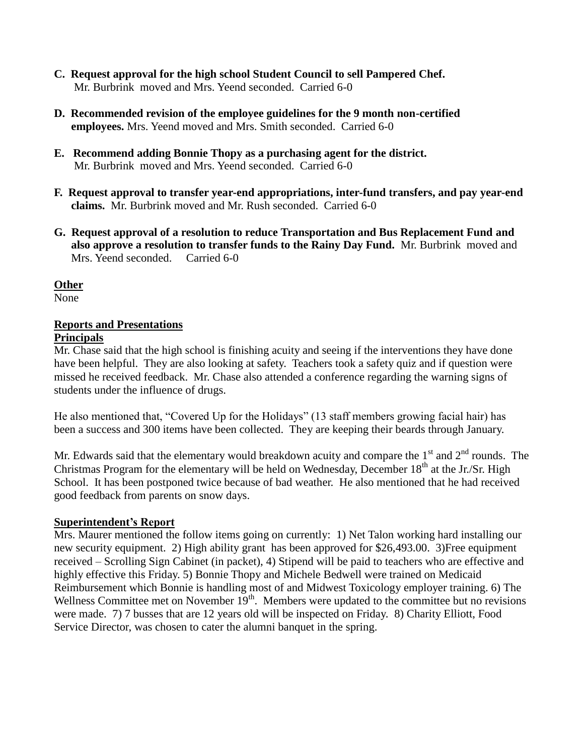- **C. Request approval for the high school Student Council to sell Pampered Chef.** Mr. Burbrink moved and Mrs. Yeend seconded. Carried 6-0
- **D. Recommended revision of the employee guidelines for the 9 month non-certified employees.** Mrs. Yeend moved and Mrs. Smith seconded. Carried 6-0
- **E. Recommend adding Bonnie Thopy as a purchasing agent for the district.** Mr. Burbrink moved and Mrs. Yeend seconded. Carried 6-0
- **F. Request approval to transfer year-end appropriations, inter-fund transfers, and pay year-end claims.** Mr. Burbrink moved and Mr. Rush seconded. Carried 6-0
- **G. Request approval of a resolution to reduce Transportation and Bus Replacement Fund and also approve a resolution to transfer funds to the Rainy Day Fund.** Mr. Burbrink moved and Mrs. Yeend seconded. Carried 6-0

#### **Other**

None

# **Reports and Presentations**

#### **Principals**

Mr. Chase said that the high school is finishing acuity and seeing if the interventions they have done have been helpful. They are also looking at safety. Teachers took a safety quiz and if question were missed he received feedback. Mr. Chase also attended a conference regarding the warning signs of students under the influence of drugs.

He also mentioned that, "Covered Up for the Holidays" (13 staff members growing facial hair) has been a success and 300 items have been collected. They are keeping their beards through January.

Mr. Edwards said that the elementary would breakdown acuity and compare the  $1<sup>st</sup>$  and  $2<sup>nd</sup>$  rounds. The Christmas Program for the elementary will be held on Wednesday, December  $18<sup>th</sup>$  at the Jr./Sr. High School. It has been postponed twice because of bad weather. He also mentioned that he had received good feedback from parents on snow days.

## **Superintendent's Report**

Mrs. Maurer mentioned the follow items going on currently: 1) Net Talon working hard installing our new security equipment. 2) High ability grant has been approved for \$26,493.00. 3)Free equipment received – Scrolling Sign Cabinet (in packet), 4) Stipend will be paid to teachers who are effective and highly effective this Friday. 5) Bonnie Thopy and Michele Bedwell were trained on Medicaid Reimbursement which Bonnie is handling most of and Midwest Toxicology employer training. 6) The Wellness Committee met on November  $19<sup>th</sup>$ . Members were updated to the committee but no revisions were made. 7) 7 busses that are 12 years old will be inspected on Friday. 8) Charity Elliott, Food Service Director, was chosen to cater the alumni banquet in the spring.